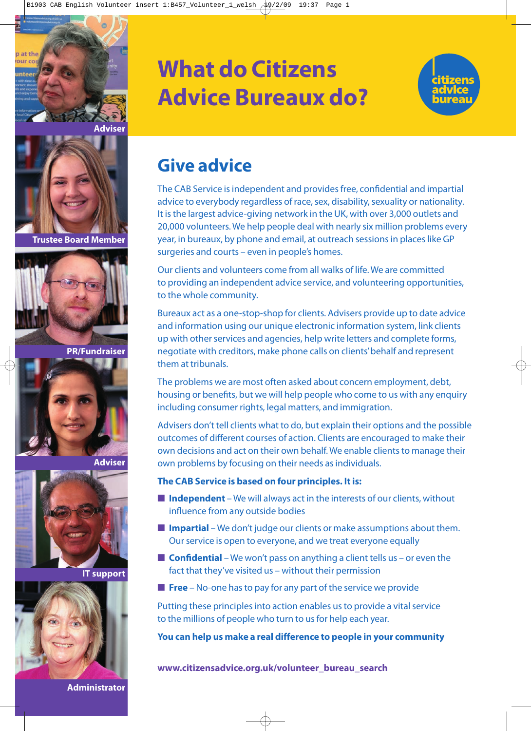





**Trustee Board Member**



**PR/Fundraiser**



**Adviser**



**IT support**



#### **Administrator**

## **What do Citizens Advice Bureaux do?**



### **Give advice**

The CAB Service is independent and provides free, confidential and impartial advice to everybody regardless of race, sex, disability, sexuality or nationality. It is the largest advice-giving network in the UK, with over 3,000 outlets and 20,000 volunteers. We help people deal with nearly six million problems every year, in bureaux, by phone and email, at outreach sessions in places like GP surgeries and courts – even in people's homes.

Our clients and volunteers come from all walks of life. We are committed to providing an independent advice service, and volunteering opportunities, to the whole community.

Bureaux act as a one-stop-shop for clients. Advisers provide up to date advice and information using our unique electronic information system, link clients up with other services and agencies, help write letters and complete forms, negotiate with creditors, make phone calls on clients'behalf and represent them at tribunals.

The problems we are most often asked about concern employment, debt, housing or benefits, but we will help people who come to us with any enquiry including consumer rights, legal matters, and immigration.

Advisers don't tell clients what to do, but explain their options and the possible outcomes of different courses of action. Clients are encouraged to make their own decisions and act on their own behalf. We enable clients to manage their own problems by focusing on their needs as individuals.

#### **The CAB Service is based on four principles. It is:**

- **Independent** We will always act in the interests of our clients, without influence from any outside bodies
- **Impartial** We don't judge our clients or make assumptions about them. Our service is open to everyone, and we treat everyone equally
- **Confidential** We won't pass on anything a client tells us or even the fact that they've visited us – without their permission
- **Free** No-one has to pay for any part of the service we provide

Putting these principles into action enables us to provide a vital service to the millions of people who turn to us for help each year.

**You can help us make a real difference to people in your community**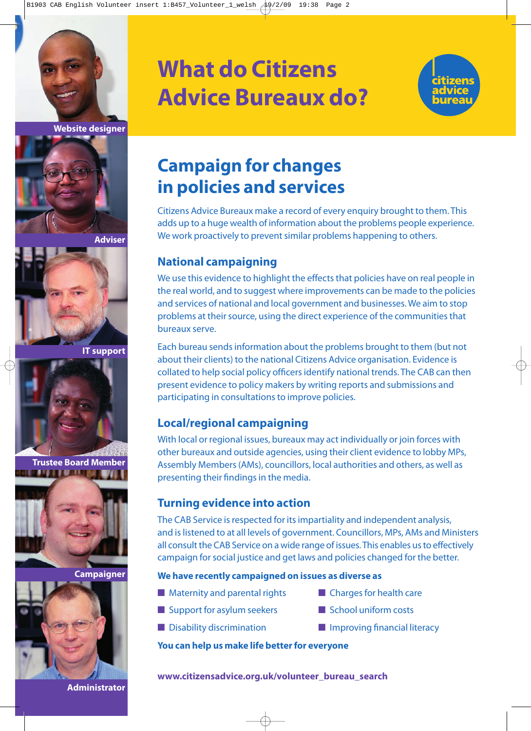



**Adviser**



**IT support**



**Trustee Board Member** in a bha an t-ainm



**Campaigner**



**Administrator**

## **What do Citizens Advice Bureaux do?**



### **Campaign for changes in policies and services**

Citizens Advice Bureaux make a record of every enquiry brought to them. This adds up to a huge wealth of information about the problems people experience. We work proactively to prevent similar problems happening to others.

### **National campaigning**

We use this evidence to highlight the effects that policies have on real people in the real world, and to suggest where improvements can be made to the policies and services of national and local government and businesses. We aim to stop problems at their source, using the direct experience of the communities that bureaux serve.

Each bureau sends information about the problems brought to them (but not about their clients) to the national Citizens Advice organisation. Evidence is collated to help social policy officers identify national trends. The CAB can then present evidence to policy makers by writing reports and submissions and participating in consultations to improve policies.

### **Local/regional campaigning**

With local or regional issues, bureaux may act individually or join forces with other bureaux and outside agencies, using their client evidence to lobby MPs, Assembly Members (AMs), councillors, local authorities and others, as well as presenting their findings in the media.

### **Turning evidence into action**

The CAB Service is respected for its impartiality and independent analysis, and is listened to at all levels of government. Councillors, MPs, AMs and Ministers all consult the CAB Service on a wide range of issues. This enables us to effectively campaign for social justice and get laws and policies changed for the better.

#### **We have recently campaigned on issues as diverse as**

- Maternity and parental rights Charges for health care
- Support for asylum seekers School uniform costs
- 
- 
- 
- Disability discrimination Improving financial literacy

#### **You can help us make life better for everyone**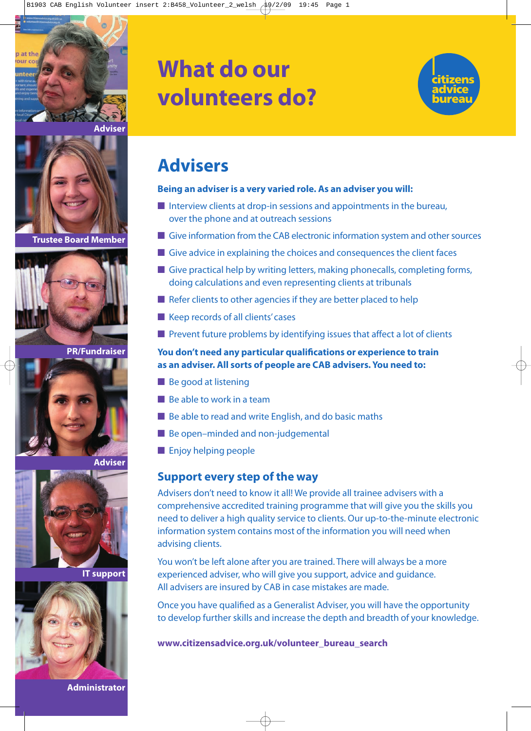

## **What do our volunteers do?**



### **Advisers**

#### **Being an adviser is a very varied role. As an adviser you will:**

- Interview clients at drop-in sessions and appointments in the bureau, over the phone and at outreach sessions
- Give information from the CAB electronic information system and other sources
- Give advice in explaining the choices and consequences the client faces
- Give practical help by writing letters, making phonecalls, completing forms, doing calculations and even representing clients at tribunals
- Refer clients to other agencies if they are better placed to help
- Keep records of all clients' cases
- Prevent future problems by identifying issues that affect a lot of clients

#### **You don't need any particular qualifications or experience to train as an adviser. All sorts of people are CAB advisers. You need to:**

- Be good at listening
- Be able to work in a team
- Be able to read and write English, and do basic maths
- Be open–minded and non-judgemental
- Enjoy helping people

### **Support every step of the way**

Advisers don't need to know it all! We provide all trainee advisers with a comprehensive accredited training programme that will give you the skills you need to deliver a high quality service to clients. Our up-to-the-minute electronic information system contains most of the information you will need when advising clients.

You won't be left alone after you are trained. There will always be a more experienced adviser, who will give you support, advice and guidance. All advisers are insured by CAB in case mistakes are made.

Once you have qualified as a Generalist Adviser, you will have the opportunity to develop further skills and increase the depth and breadth of your knowledge.

**www.citizensadvice.org.uk/volunteer\_bureau\_search**

**Trustee Board Member**



**PR/Fundraiser**



**Adviser**



**IT support**



**Administrator**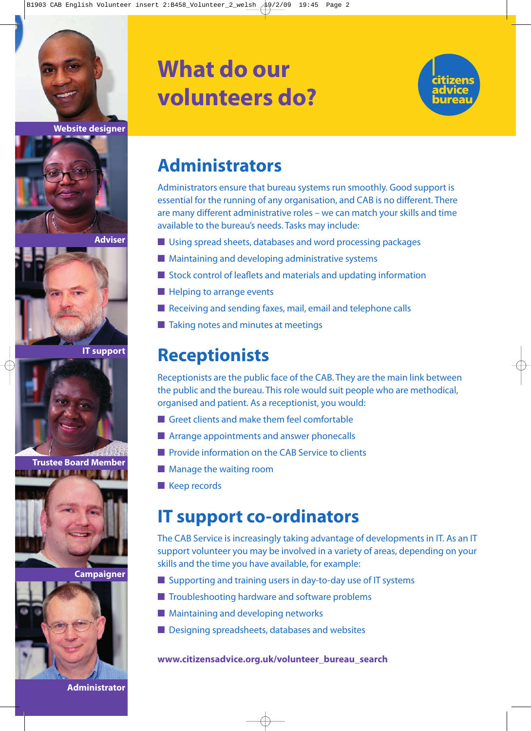



**Adviser**



**IT support**



**Trustee Board Member INTERNATIONAL CONTINUES** 



**Campaigner**



**Administrator**

# **What do our volunteers do?**



### **Administrators**

Administrators ensure that bureau systems run smoothly. Good support is essential for the running of any organisation, and CAB is no different. There are many different administrative roles – we can match your skills and time available to the bureau's needs. Tasks may include:

- Using spread sheets, databases and word processing packages
- Maintaining and developing administrative systems
- Stock control of leaflets and materials and updating information
- Helping to arrange events
- Receiving and sending faxes, mail, email and telephone calls
- Taking notes and minutes at meetings

### **Receptionists**

Receptionists are the public face of the CAB. They are the main link between the public and the bureau. This role would suit people who are methodical, organised and patient. As a receptionist, you would:

- Greet clients and make them feel comfortable
- Arrange appointments and answer phonecalls
- Provide information on the CAB Service to clients
- Manage the waiting room
- Keep records

### **IT support co-ordinators**

The CAB Service is increasingly taking advantage of developments in IT. As an IT support volunteer you may be involved in a variety of areas, depending on your skills and the time you have available, for example:

- Supporting and training users in day-to-day use of IT systems
- Troubleshooting hardware and software problems
- Maintaining and developing networks
- Designing spreadsheets, databases and websites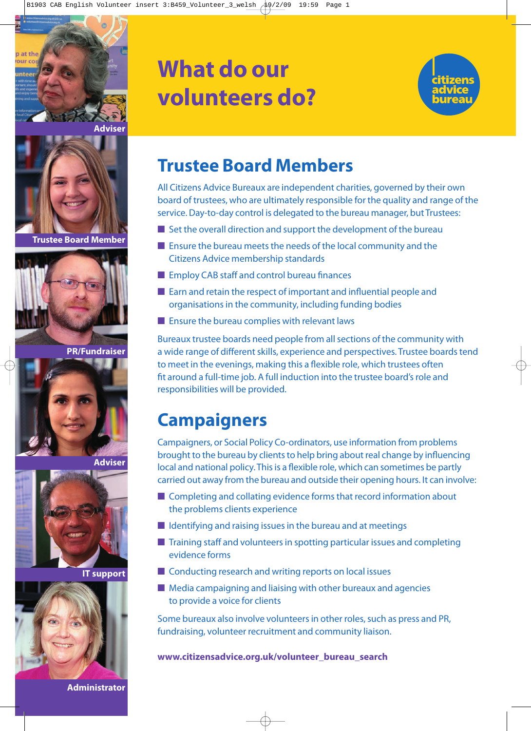



**Trustee Board Member**



**PR/Fundraiser**



**Adviser**



**IT support**



**Administrator**

# **What do our volunteers do?**



### **Trustee Board Members**

All Citizens Advice Bureaux are independent charities, governed by their own board of trustees, who are ultimately responsible for the quality and range of the service. Day-to-day control is delegated to the bureau manager, but Trustees:

- $\blacksquare$  Set the overall direction and support the development of the bureau
- Ensure the bureau meets the needs of the local community and the Citizens Advice membership standards
- Employ CAB staff and control bureau finances
- Earn and retain the respect of important and influential people and organisations in the community, including funding bodies
- Ensure the bureau complies with relevant laws

Bureaux trustee boards need people from all sections of the community with a wide range of different skills, experience and perspectives. Trustee boards tend to meet in the evenings, making this a flexible role, which trustees often fit around a full-time job. A full induction into the trustee board's role and responsibilities will be provided.

### **Campaigners**

Campaigners, or Social Policy Co-ordinators, use information from problems brought to the bureau by clients to help bring about real change by influencing local and national policy. This is a flexible role, which can sometimes be partly carried out away from the bureau and outside their opening hours. It can involve:

- Completing and collating evidence forms that record information about the problems clients experience
- $\blacksquare$  Identifying and raising issues in the bureau and at meetings
- Training staff and volunteers in spotting particular issues and completing evidence forms
- Conducting research and writing reports on local issues
- Media campaigning and liaising with other bureaux and agencies to provide a voice for clients

Some bureaux also involve volunteers in other roles, such as press and PR, fundraising, volunteer recruitment and community liaison.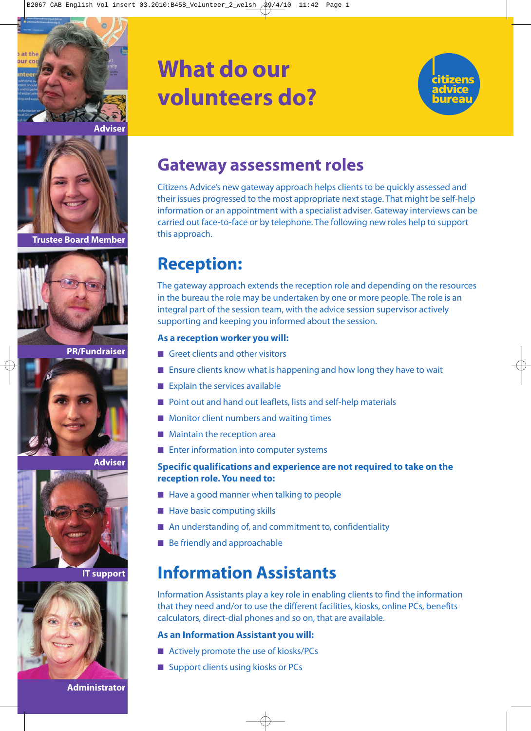

**Adviser**



**Trustee Board Member**



**PR/Fundraiser**



**Adviser**



**IT support**



#### **Administrator**

# **What do our volunteers do?**



### **Gateway assessment roles**

Citizens Advice's new gateway approach helps clients to be quickly assessed and their issues progressed to the most appropriate next stage. That might be self-help information or an appointment with a specialist adviser. Gateway interviews can be carried out face-to-face or by telephone. The following new roles help to support this approach.

### **Reception:**

The gateway approach extends the reception role and depending on the resources in the bureau the role may be undertaken by one or more people. The role is an integral part of the session team, with the advice session supervisor actively supporting and keeping you informed about the session.

#### **As a reception worker you will:**

- Greet clients and other visitors
- Ensure clients know what is happening and how long they have to wait
- Explain the services available
- Point out and hand out leaflets, lists and self-help materials
- Monitor client numbers and waiting times
- Maintain the reception area
- Enter information into computer systems

#### **Specific qualifications and experience are not required to take on the reception role. You need to:**

- Have a good manner when talking to people
- Have basic computing skills
- An understanding of, and commitment to, confidentiality
- Be friendly and approachable

### **Information Assistants**

Information Assistants play a key role in enabling clients to find the information that they need and/or to use the different facilities, kiosks, online PCs, benefits calculators, direct-dial phones and so on, that are available.

#### **As an Information Assistant you will:**

- Actively promote the use of kiosks/PCs
- Support clients using kiosks or PCs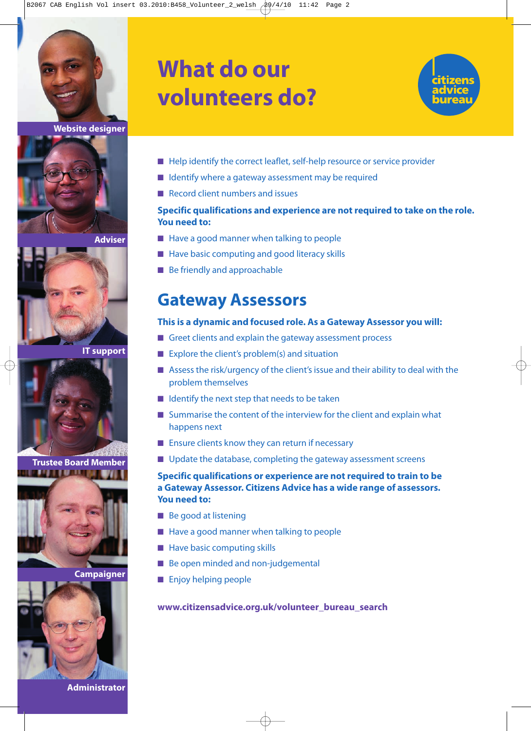

**Website designer**



**Adviser**



**IT support**



**Trustee Board Member THE R. P. LEWIS CO., LANSING.** 



**Campaigner**



**Administrator**

# **What do our volunteers do?**



- Help identify the correct leaflet, self-help resource or service provider
- Identify where a gateway assessment may be required
- Record client numbers and issues

#### **Specific qualifications and experience are not required to take on the role. You need to:**

- Have a good manner when talking to people
- Have basic computing and good literacy skills
- Be friendly and approachable

### **Gateway Assessors**

#### **This is a dynamic and focused role. As a Gateway Assessor you will:**

- Greet clients and explain the gateway assessment process
- Explore the client's problem(s) and situation
- Assess the risk/urgency of the client's issue and their ability to deal with the problem themselves
- Identify the next step that needs to be taken
- Summarise the content of the interview for the client and explain what happens next
- Ensure clients know they can return if necessary
- Update the database, completing the gateway assessment screens

#### **Specific qualifications or experience are not required to train to be a Gateway Assessor. Citizens Advice has a wide range of assessors. You need to:**

- Be good at listening
- Have a good manner when talking to people
- Have basic computing skills
- Be open minded and non-judgemental
- Enjoy helping people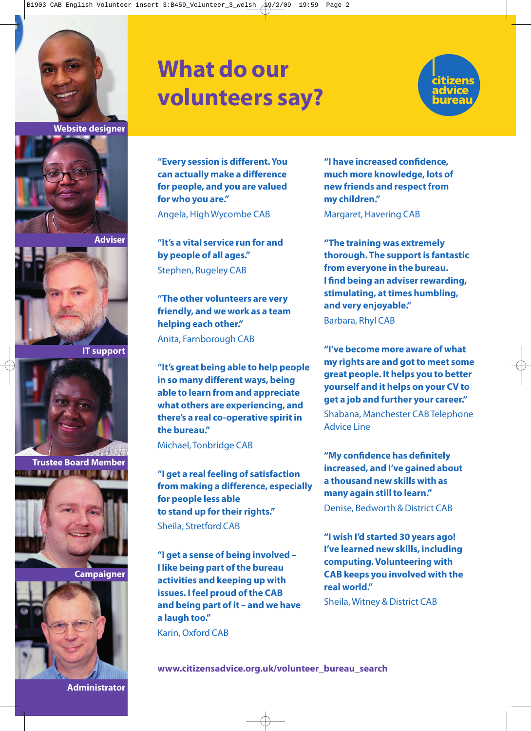



**Adviser**



**IT support**



**Trustee Board Member THE PLAN IS NOT THE REAL PRO** 



**Campaigner**

**Administrator**



## **What do our volunteers say?**



**"Every session is different. You can actually make a difference for people, and you are valued for who you are."**

Angela, High Wycombe CAB

**"It's a vital service run for and by people of all ages."** Stephen, Rugeley CAB

**"The other volunteers are very friendly, and we work as a team helping each other."** Anita, Farnborough CAB

**"It's great being able to help people in so many different ways, being able to learn from and appreciate what others are experiencing, and there's a real co-operative spirit in the bureau."**

Michael, Tonbridge CAB

**"I get a real feeling of satisfaction from making a difference, especially for people less able to stand up for their rights."** Sheila, Stretford CAB

**"I get a sense of being involved – I like being part of the bureau activities and keeping up with issues. I feel proud of the CAB and being part of it – and we have a laugh too."**

Karin, Oxford CAB

**"I have increased confidence, much more knowledge, lots of new friends and respect from my children."**

Margaret, Havering CAB

**"The training was extremely thorough. The support is fantastic from everyone in the bureau. I find being an adviser rewarding, stimulating, at times humbling, and very enjoyable."** Barbara, Rhyl CAB

**"I've become more aware of what my rights are and got to meet some great people. It helps you to better yourself and it helps on your CV to get a job and further your career."** Shabana, Manchester CAB Telephone Advice Line

**"My confidence has definitely increased, and I've gained about a thousand new skills with as many again still to learn."** Denise, Bedworth & District CAB

**"I wish I'd started 30 years ago! I've learned new skills, including computing. Volunteering with CAB keeps you involved with the real world."**

Sheila, Witney & District CAB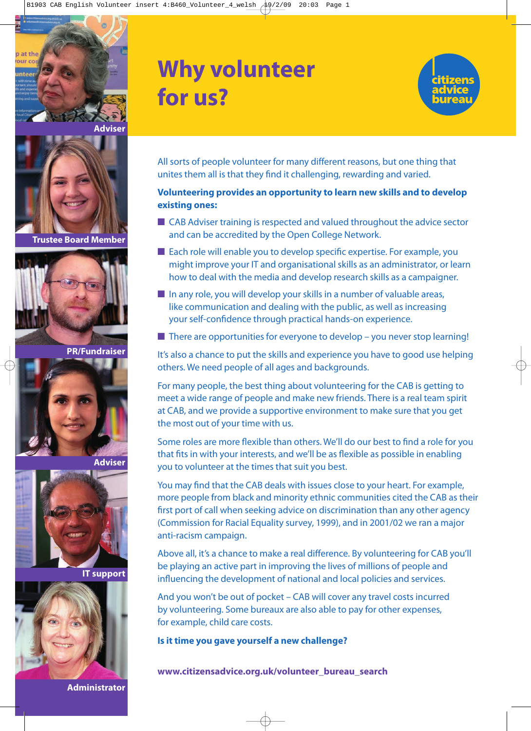

## **Why volunteer for us?**



All sorts of people volunteer for many different reasons, but one thing that unites them all is that they find it challenging, rewarding and varied.

#### **Volunteering provides an opportunity to learn new skills and to develop existing ones:**

- CAB Adviser training is respected and valued throughout the advice sector and can be accredited by the Open College Network.
- Each role will enable you to develop specific expertise. For example, you might improve your IT and organisational skills as an administrator, or learn how to deal with the media and develop research skills as a campaigner.
- In any role, you will develop your skills in a number of valuable areas, like communication and dealing with the public, as well as increasing your self-confidence through practical hands-on experience.
- $\blacksquare$  There are opportunities for everyone to develop you never stop learning!

It's also a chance to put the skills and experience you have to good use helping others. We need people of all ages and backgrounds.

For many people, the best thing about volunteering for the CAB is getting to meet a wide range of people and make new friends. There is a real team spirit at CAB, and we provide a supportive environment to make sure that you get the most out of your time with us.

Some roles are more flexible than others. We'll do our best to find a role for you that fits in with your interests, and we'll be as flexible as possible in enabling you to volunteer at the times that suit you best.

You may find that the CAB deals with issues close to your heart. For example, more people from black and minority ethnic communities cited the CAB as their first port of call when seeking advice on discrimination than any other agency (Commission for Racial Equality survey, 1999), and in 2001/02 we ran a major anti-racism campaign.

Above all, it's a chance to make a real difference. By volunteering for CAB you'll be playing an active part in improving the lives of millions of people and influencing the development of national and local policies and services.

And you won't be out of pocket – CAB will cover any travel costs incurred by volunteering. Some bureaux are also able to pay for other expenses, for example, child care costs.

**Is it time you gave yourself a new challenge?**

**www.citizensadvice.org.uk/volunteer\_bureau\_search**

**Trustee Board Member**



**PR/Fundraiser**



**Adviser**



**IT support**



**Administrator**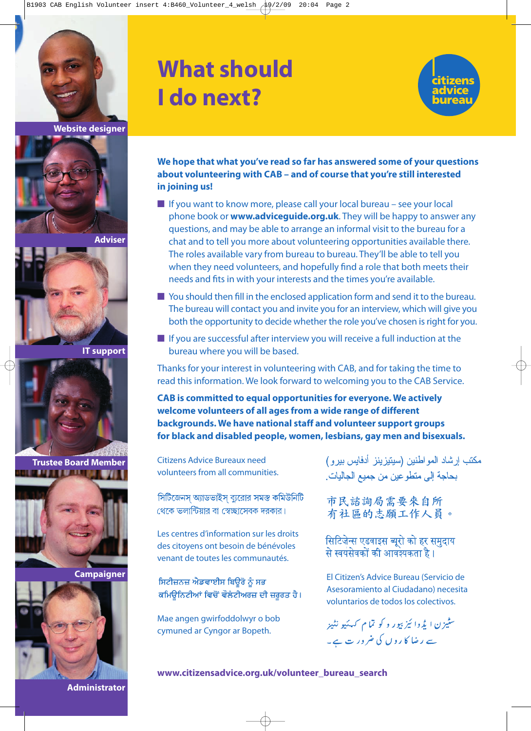



**Adviser**



**IT support**



**Trustee Board Member** <u>in an Indian I</u>



**Campaigner**



## **What should I do next?**



**We hope that what you've read so far has answered some of your questions about volunteering with CAB – and of course that you're still interested in joining us!**

- If you want to know more, please call your local bureau see your local phone book or **www.adviceguide.org.uk**. They will be happy to answer any questions, and may be able to arrange an informal visit to the bureau for a chat and to tell you more about volunteering opportunities available there. The roles available vary from bureau to bureau. They'll be able to tell you when they need volunteers, and hopefully find a role that both meets their needs and fits in with your interests and the times you're available.
- You should then fill in the enclosed application form and send it to the bureau. The bureau will contact you and invite you for an interview, which will give you both the opportunity to decide whether the role you've chosen is right for you.
- If you are successful after interview you will receive a full induction at the bureau where you will be based.

Thanks for your interest in volunteering with CAB, and for taking the time to read this information. We look forward to welcoming you to the CAB Service.

**CAB is committed to equal opportunities for everyone. We actively welcome volunteers of all ages from a wide range of different backgrounds. We have national staff and volunteer support groups for black and disabled people, women, lesbians, gay men and bisexuals.**

Citizens Advice Bureaux need volunteers from all communities.

সিটিজেনস অ্যাডভাইস ব্যুরোর সমস্ত কমিউনিটি থেকে ভলান্টিয়াব বা স্বেচ্ছাসেবক দবকাব।

Les centres d'information sur les droits des citoyens ont besoin de bénévoles venant de toutes les communautés.

ਸਿਟੀਜ਼ਨਜ਼ ਐਡਵਾਈਸ ਬਿਊਰੋ ਨੂੰ ਸਭ ਕਮਿਊਨਿਟੀਆਂ ਵਿਚੋਂ ਵੌਲੰਟੀਅਰਜ਼ ਦੀ ਜ਼ਰੂਰਤ ਹੈ।

Mae angen gwirfoddolwyr o bob cymuned ar Cyngor ar Bopeth.

مكتب إر شاد المو اطنين (سيتيز ينز أدفايس بير و ) بحاجة إلى متطوعين من جميع الجاليات.

市民諮詢局需要來自所 有社區的志願工作人員。

सिटिजेन्स एडवाइस ब्यूरो को हर समुदाय से स्वयंसेवकों की आवश्यकता है ।

El Citizen's Advice Bureau (Servicio de Asesoramiento al Ciudadano) necesita voluntarios de todos los colectivos.

سٹیزن ایڈوا ئیز بپور و کو تما م کہکیو نٹیز سے رضا کا روں کی ضرور ت ہے۔

**www.citizensadvice.org.uk/volunteer\_bureau\_search**

**Administrator**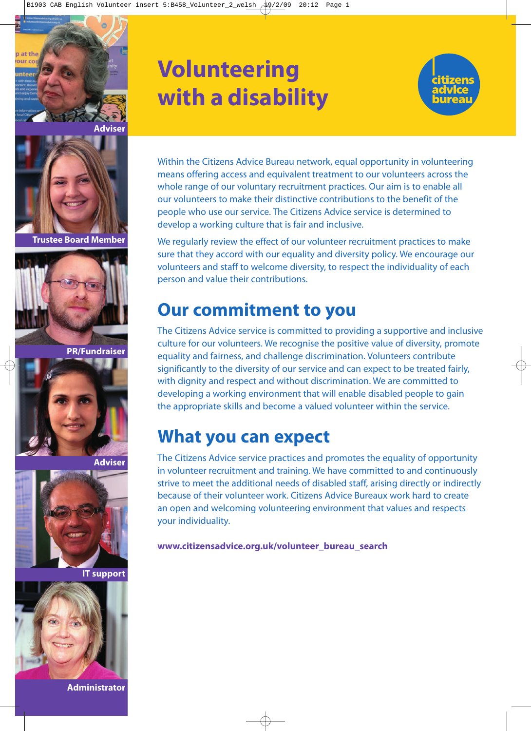



**Trustee Board Member**



**PR/Fundraiser**



**Adviser**



**IT support**



**Administrator**

# **Volunteering with a disability**



Within the Citizens Advice Bureau network, equal opportunity in volunteering means offering access and equivalent treatment to our volunteers across the whole range of our voluntary recruitment practices. Our aim is to enable all our volunteers to make their distinctive contributions to the benefit of the people who use our service. The Citizens Advice service is determined to develop a working culture that is fair and inclusive.

We regularly review the effect of our volunteer recruitment practices to make sure that they accord with our equality and diversity policy. We encourage our volunteers and staff to welcome diversity, to respect the individuality of each person and value their contributions.

### **Our commitment to you**

The Citizens Advice service is committed to providing a supportive and inclusive culture for our volunteers. We recognise the positive value of diversity, promote equality and fairness, and challenge discrimination. Volunteers contribute significantly to the diversity of our service and can expect to be treated fairly, with dignity and respect and without discrimination. We are committed to developing a working environment that will enable disabled people to gain the appropriate skills and become a valued volunteer within the service.

### **What you can expect**

The Citizens Advice service practices and promotes the equality of opportunity in volunteer recruitment and training. We have committed to and continuously strive to meet the additional needs of disabled staff, arising directly or indirectly because of their volunteer work. Citizens Advice Bureaux work hard to create an open and welcoming volunteering environment that values and respects your individuality.